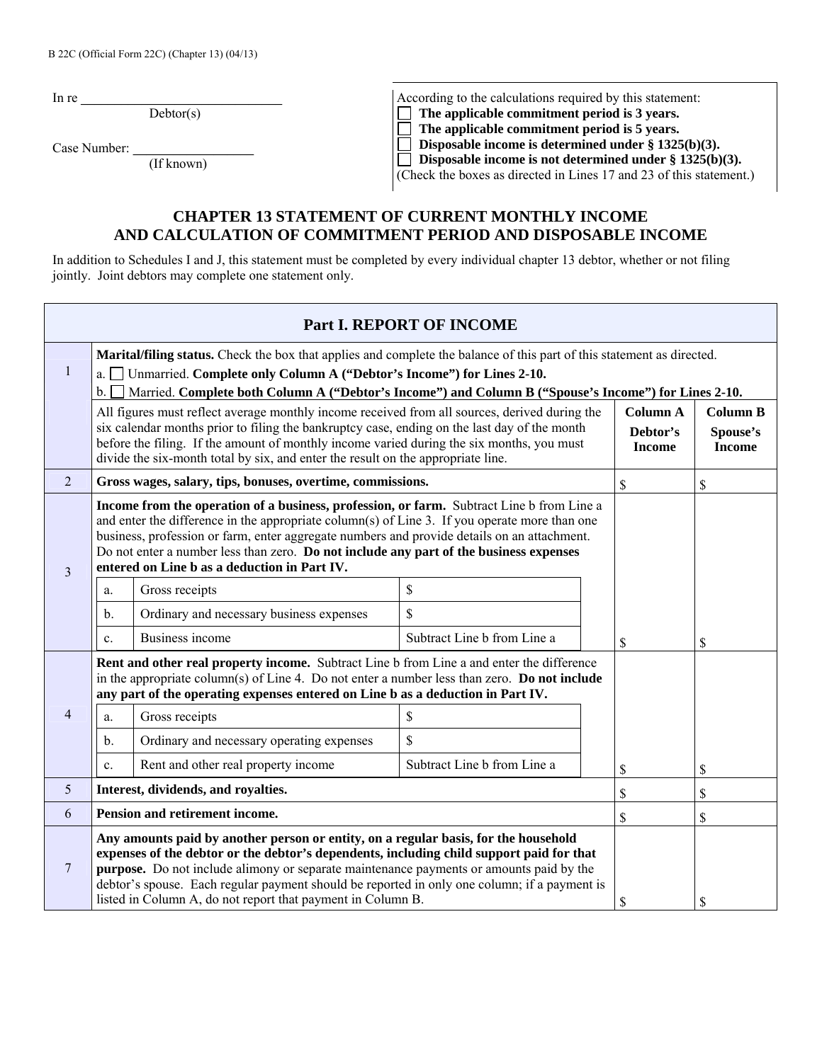In re $\overline{\phantom{a}}$ 

Debtor(s)

Case Number:

| (If known) |  |
|------------|--|

According to the calculations required by this statement:<br>  $\Box$  The applicable commitment period is 3 years.<br>  $\Box$  The applicable commitment period is 5 years.  **The applicable commitment period is 3 years.**  □ The applicable commitment period is 5 years.<br>□ Disposable income is determined under § 1325  **Disposable income is determined under § 1325(b)(3).** 

 **Disposable income is not determined under § 1325(b)(3).** 

(Check the boxes as directed in Lines 17 and 23 of this statement.)

## **CHAPTER 13 STATEMENT OF CURRENT MONTHLY INCOME AND CALCULATION OF COMMITMENT PERIOD AND DISPOSABLE INCOME**

In addition to Schedules I and J, this statement must be completed by every individual chapter 13 debtor, whether or not filing jointly. Joint debtors may complete one statement only.

|                | Part I. REPORT OF INCOME                                                                                                                                                                                                                                                                                                                                                                                                                         |                                                                                                                                                                                                                                                                                                                                                                                |                                              |                                              |    |  |  |  |
|----------------|--------------------------------------------------------------------------------------------------------------------------------------------------------------------------------------------------------------------------------------------------------------------------------------------------------------------------------------------------------------------------------------------------------------------------------------------------|--------------------------------------------------------------------------------------------------------------------------------------------------------------------------------------------------------------------------------------------------------------------------------------------------------------------------------------------------------------------------------|----------------------------------------------|----------------------------------------------|----|--|--|--|
| 1              | Marital/filing status. Check the box that applies and complete the balance of this part of this statement as directed.<br>a. <u>I</u> Unmarried. Complete only Column A ("Debtor's Income") for Lines 2-10.<br>Married. Complete both Column A ("Debtor's Income") and Column B ("Spouse's Income") for Lines 2-10.<br>$\mathbf b$ .                                                                                                             |                                                                                                                                                                                                                                                                                                                                                                                |                                              |                                              |    |  |  |  |
|                |                                                                                                                                                                                                                                                                                                                                                                                                                                                  | All figures must reflect average monthly income received from all sources, derived during the<br>six calendar months prior to filing the bankruptcy case, ending on the last day of the month<br>before the filing. If the amount of monthly income varied during the six months, you must<br>divide the six-month total by six, and enter the result on the appropriate line. | <b>Column A</b><br>Debtor's<br><b>Income</b> | <b>Column B</b><br>Spouse's<br><b>Income</b> |    |  |  |  |
| $\overline{2}$ |                                                                                                                                                                                                                                                                                                                                                                                                                                                  | Gross wages, salary, tips, bonuses, overtime, commissions.                                                                                                                                                                                                                                                                                                                     |                                              | $\mathbb{S}$                                 | \$ |  |  |  |
| 3              | Income from the operation of a business, profession, or farm. Subtract Line b from Line a<br>and enter the difference in the appropriate column(s) of Line 3. If you operate more than one<br>business, profession or farm, enter aggregate numbers and provide details on an attachment.<br>Do not enter a number less than zero. Do not include any part of the business expenses<br>entered on Line b as a deduction in Part IV.              |                                                                                                                                                                                                                                                                                                                                                                                |                                              |                                              |    |  |  |  |
|                | a.                                                                                                                                                                                                                                                                                                                                                                                                                                               | Gross receipts                                                                                                                                                                                                                                                                                                                                                                 | \$                                           |                                              |    |  |  |  |
|                | b.                                                                                                                                                                                                                                                                                                                                                                                                                                               | Ordinary and necessary business expenses                                                                                                                                                                                                                                                                                                                                       | \$                                           |                                              |    |  |  |  |
|                | c.                                                                                                                                                                                                                                                                                                                                                                                                                                               | Business income                                                                                                                                                                                                                                                                                                                                                                | Subtract Line b from Line a                  | S                                            | \$ |  |  |  |
|                |                                                                                                                                                                                                                                                                                                                                                                                                                                                  | Rent and other real property income. Subtract Line b from Line a and enter the difference<br>in the appropriate column(s) of Line 4. Do not enter a number less than zero. <b>Do not include</b><br>any part of the operating expenses entered on Line b as a deduction in Part IV.                                                                                            |                                              |                                              |    |  |  |  |
| 4              | a.                                                                                                                                                                                                                                                                                                                                                                                                                                               | Gross receipts                                                                                                                                                                                                                                                                                                                                                                 | \$                                           |                                              |    |  |  |  |
|                | b.                                                                                                                                                                                                                                                                                                                                                                                                                                               | Ordinary and necessary operating expenses                                                                                                                                                                                                                                                                                                                                      | \$                                           |                                              |    |  |  |  |
|                | c.                                                                                                                                                                                                                                                                                                                                                                                                                                               | Rent and other real property income                                                                                                                                                                                                                                                                                                                                            | Subtract Line b from Line a                  | $\mathsf{\$}$                                | \$ |  |  |  |
| 5              |                                                                                                                                                                                                                                                                                                                                                                                                                                                  | Interest, dividends, and royalties.                                                                                                                                                                                                                                                                                                                                            |                                              | \$                                           | \$ |  |  |  |
| 6              | Pension and retirement income.                                                                                                                                                                                                                                                                                                                                                                                                                   |                                                                                                                                                                                                                                                                                                                                                                                |                                              |                                              | \$ |  |  |  |
| 7              | Any amounts paid by another person or entity, on a regular basis, for the household<br>expenses of the debtor or the debtor's dependents, including child support paid for that<br><b>purpose.</b> Do not include alimony or separate maintenance payments or amounts paid by the<br>debtor's spouse. Each regular payment should be reported in only one column; if a payment is<br>listed in Column A, do not report that payment in Column B. |                                                                                                                                                                                                                                                                                                                                                                                |                                              |                                              | \$ |  |  |  |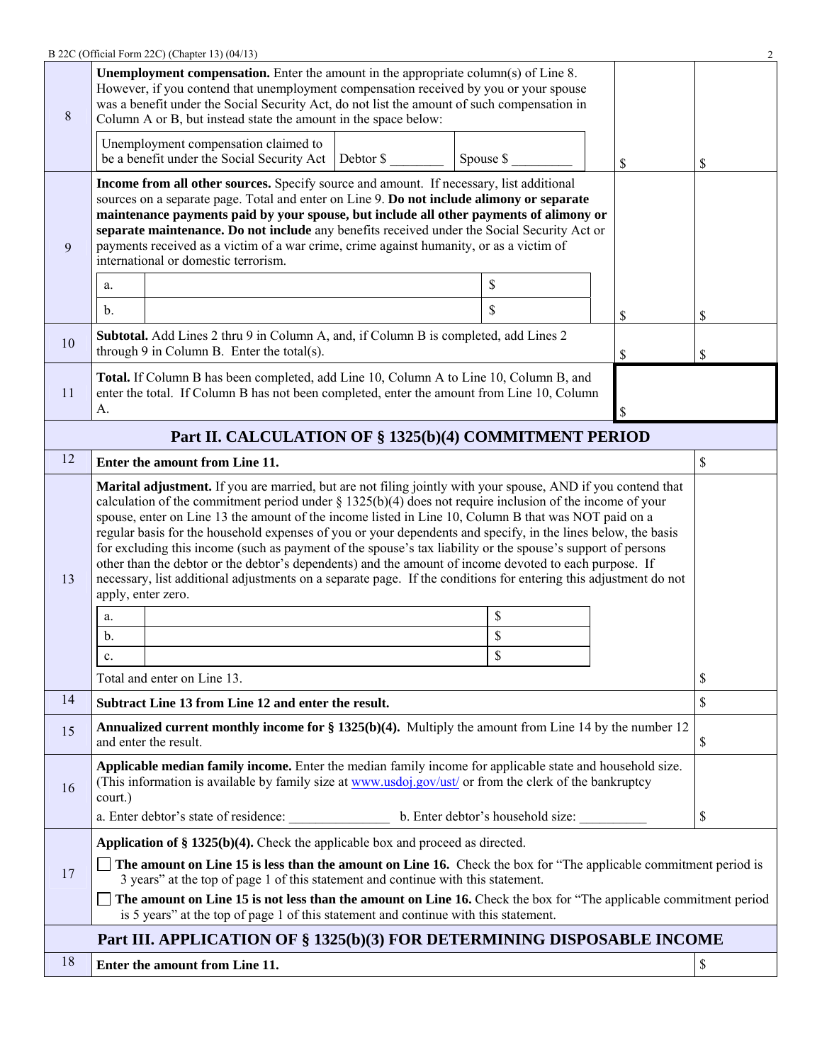|    | B 22C (Official Form 22C) (Chapter 13) (04/13)                                                                                                                                                                                                                                                                                                                                                                                                                                                                                                                                                                                                                                                                                                                                                                                             |           |    |          |  |  |  |
|----|--------------------------------------------------------------------------------------------------------------------------------------------------------------------------------------------------------------------------------------------------------------------------------------------------------------------------------------------------------------------------------------------------------------------------------------------------------------------------------------------------------------------------------------------------------------------------------------------------------------------------------------------------------------------------------------------------------------------------------------------------------------------------------------------------------------------------------------------|-----------|----|----------|--|--|--|
| 8  | <b>Unemployment compensation.</b> Enter the amount in the appropriate column(s) of Line 8.<br>However, if you contend that unemployment compensation received by you or your spouse<br>was a benefit under the Social Security Act, do not list the amount of such compensation in<br>Column A or B, but instead state the amount in the space below:                                                                                                                                                                                                                                                                                                                                                                                                                                                                                      |           |    |          |  |  |  |
|    | Unemployment compensation claimed to<br>be a benefit under the Social Security Act   Debtor \$                                                                                                                                                                                                                                                                                                                                                                                                                                                                                                                                                                                                                                                                                                                                             | Spouse \$ | \$ | \$       |  |  |  |
| 9  | Income from all other sources. Specify source and amount. If necessary, list additional<br>sources on a separate page. Total and enter on Line 9. Do not include alimony or separate<br>maintenance payments paid by your spouse, but include all other payments of alimony or<br>separate maintenance. Do not include any benefits received under the Social Security Act or<br>payments received as a victim of a war crime, crime against humanity, or as a victim of<br>international or domestic terrorism.<br>\$<br>a.<br>\$<br>$\mathbf{b}$ .<br>S                                                                                                                                                                                                                                                                                  |           |    |          |  |  |  |
| 10 | Subtotal. Add Lines 2 thru 9 in Column A, and, if Column B is completed, add Lines 2<br>through 9 in Column B. Enter the total(s).                                                                                                                                                                                                                                                                                                                                                                                                                                                                                                                                                                                                                                                                                                         |           | \$ | \$<br>\$ |  |  |  |
| 11 | Total. If Column B has been completed, add Line 10, Column A to Line 10, Column B, and<br>enter the total. If Column B has not been completed, enter the amount from Line 10, Column<br>A.                                                                                                                                                                                                                                                                                                                                                                                                                                                                                                                                                                                                                                                 |           |    |          |  |  |  |
|    | Part II. CALCULATION OF § 1325(b)(4) COMMITMENT PERIOD                                                                                                                                                                                                                                                                                                                                                                                                                                                                                                                                                                                                                                                                                                                                                                                     |           |    |          |  |  |  |
| 12 | Enter the amount from Line 11.                                                                                                                                                                                                                                                                                                                                                                                                                                                                                                                                                                                                                                                                                                                                                                                                             |           |    | \$       |  |  |  |
| 13 | <b>Marital adjustment.</b> If you are married, but are not filing jointly with your spouse, AND if you contend that<br>calculation of the commitment period under $\S$ 1325(b)(4) does not require inclusion of the income of your<br>spouse, enter on Line 13 the amount of the income listed in Line 10, Column B that was NOT paid on a<br>regular basis for the household expenses of you or your dependents and specify, in the lines below, the basis<br>for excluding this income (such as payment of the spouse's tax liability or the spouse's support of persons<br>other than the debtor or the debtor's dependents) and the amount of income devoted to each purpose. If<br>necessary, list additional adjustments on a separate page. If the conditions for entering this adjustment do not<br>apply, enter zero.<br>\$<br>a. |           |    |          |  |  |  |
|    | $\mathbf b$ .                                                                                                                                                                                                                                                                                                                                                                                                                                                                                                                                                                                                                                                                                                                                                                                                                              | \$        |    |          |  |  |  |
|    | c.<br>Total and enter on Line 13.                                                                                                                                                                                                                                                                                                                                                                                                                                                                                                                                                                                                                                                                                                                                                                                                          | \$        |    |          |  |  |  |
| 14 | Subtract Line 13 from Line 12 and enter the result.                                                                                                                                                                                                                                                                                                                                                                                                                                                                                                                                                                                                                                                                                                                                                                                        |           |    | \$<br>\$ |  |  |  |
|    | <b>Annualized current monthly income for § 1325(b)(4).</b> Multiply the amount from Line 14 by the number 12                                                                                                                                                                                                                                                                                                                                                                                                                                                                                                                                                                                                                                                                                                                               |           |    |          |  |  |  |
| 15 | and enter the result.                                                                                                                                                                                                                                                                                                                                                                                                                                                                                                                                                                                                                                                                                                                                                                                                                      |           |    | \$       |  |  |  |
| 16 | Applicable median family income. Enter the median family income for applicable state and household size.<br>(This information is available by family size at www.usdoj.gov/ust/ or from the clerk of the bankruptcy<br>court.)                                                                                                                                                                                                                                                                                                                                                                                                                                                                                                                                                                                                             |           |    |          |  |  |  |
|    |                                                                                                                                                                                                                                                                                                                                                                                                                                                                                                                                                                                                                                                                                                                                                                                                                                            |           |    | \$       |  |  |  |
| 17 | Application of $\S$ 1325(b)(4). Check the applicable box and proceed as directed.<br>The amount on Line 15 is less than the amount on Line 16. Check the box for "The applicable commitment period is<br>3 years" at the top of page 1 of this statement and continue with this statement.                                                                                                                                                                                                                                                                                                                                                                                                                                                                                                                                                 |           |    |          |  |  |  |
|    | The amount on Line 15 is not less than the amount on Line 16. Check the box for "The applicable commitment period<br>is 5 years" at the top of page 1 of this statement and continue with this statement.                                                                                                                                                                                                                                                                                                                                                                                                                                                                                                                                                                                                                                  |           |    |          |  |  |  |
|    | Part III. APPLICATION OF § 1325(b)(3) FOR DETERMINING DISPOSABLE INCOME                                                                                                                                                                                                                                                                                                                                                                                                                                                                                                                                                                                                                                                                                                                                                                    |           |    |          |  |  |  |
| 18 | Enter the amount from Line 11.                                                                                                                                                                                                                                                                                                                                                                                                                                                                                                                                                                                                                                                                                                                                                                                                             |           |    | \$       |  |  |  |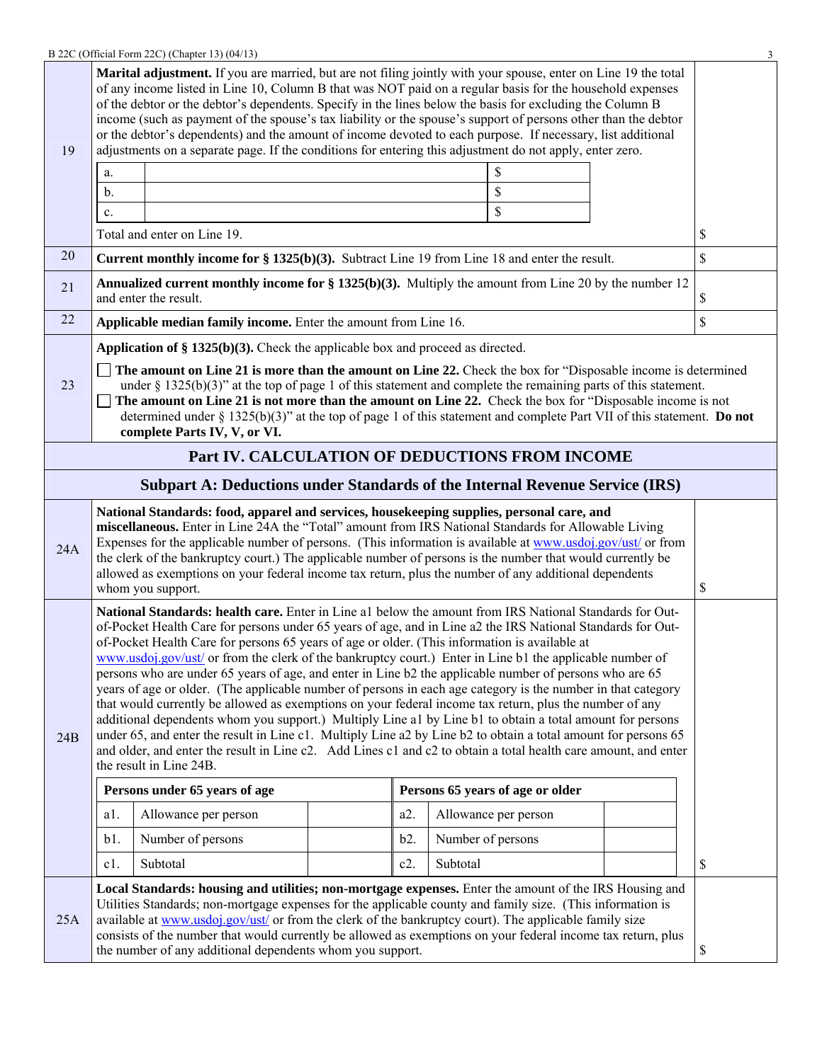|     |                                                                                                                                                                                                                                                                                                                                                                                                                                                                                                                                                                                                                                                                                                                                                                                                                                                                                                                                                                                                                                                                                                                                                        | B 22C (Official Form 22C) (Chapter 13) (04/13)                                                                                                                                                                                                                                                                                                                                                                                                                                                        |  |        |                   |                                  |    | 3           |  |
|-----|--------------------------------------------------------------------------------------------------------------------------------------------------------------------------------------------------------------------------------------------------------------------------------------------------------------------------------------------------------------------------------------------------------------------------------------------------------------------------------------------------------------------------------------------------------------------------------------------------------------------------------------------------------------------------------------------------------------------------------------------------------------------------------------------------------------------------------------------------------------------------------------------------------------------------------------------------------------------------------------------------------------------------------------------------------------------------------------------------------------------------------------------------------|-------------------------------------------------------------------------------------------------------------------------------------------------------------------------------------------------------------------------------------------------------------------------------------------------------------------------------------------------------------------------------------------------------------------------------------------------------------------------------------------------------|--|--------|-------------------|----------------------------------|----|-------------|--|
| 19  | Marital adjustment. If you are married, but are not filing jointly with your spouse, enter on Line 19 the total<br>of any income listed in Line 10, Column B that was NOT paid on a regular basis for the household expenses<br>of the debtor or the debtor's dependents. Specify in the lines below the basis for excluding the Column B<br>income (such as payment of the spouse's tax liability or the spouse's support of persons other than the debtor<br>or the debtor's dependents) and the amount of income devoted to each purpose. If necessary, list additional<br>adjustments on a separate page. If the conditions for entering this adjustment do not apply, enter zero.                                                                                                                                                                                                                                                                                                                                                                                                                                                                 |                                                                                                                                                                                                                                                                                                                                                                                                                                                                                                       |  |        |                   |                                  |    |             |  |
|     | \$<br>a.                                                                                                                                                                                                                                                                                                                                                                                                                                                                                                                                                                                                                                                                                                                                                                                                                                                                                                                                                                                                                                                                                                                                               |                                                                                                                                                                                                                                                                                                                                                                                                                                                                                                       |  |        |                   |                                  |    |             |  |
|     | b.                                                                                                                                                                                                                                                                                                                                                                                                                                                                                                                                                                                                                                                                                                                                                                                                                                                                                                                                                                                                                                                                                                                                                     |                                                                                                                                                                                                                                                                                                                                                                                                                                                                                                       |  |        |                   | \$                               |    |             |  |
|     | c.                                                                                                                                                                                                                                                                                                                                                                                                                                                                                                                                                                                                                                                                                                                                                                                                                                                                                                                                                                                                                                                                                                                                                     |                                                                                                                                                                                                                                                                                                                                                                                                                                                                                                       |  |        |                   | \$                               |    |             |  |
|     |                                                                                                                                                                                                                                                                                                                                                                                                                                                                                                                                                                                                                                                                                                                                                                                                                                                                                                                                                                                                                                                                                                                                                        | Total and enter on Line 19.                                                                                                                                                                                                                                                                                                                                                                                                                                                                           |  |        |                   |                                  |    | \$          |  |
| 20  |                                                                                                                                                                                                                                                                                                                                                                                                                                                                                                                                                                                                                                                                                                                                                                                                                                                                                                                                                                                                                                                                                                                                                        | <b>Current monthly income for § 1325(b)(3).</b> Subtract Line 19 from Line 18 and enter the result.                                                                                                                                                                                                                                                                                                                                                                                                   |  |        |                   |                                  |    | $\mathbf S$ |  |
| 21  |                                                                                                                                                                                                                                                                                                                                                                                                                                                                                                                                                                                                                                                                                                                                                                                                                                                                                                                                                                                                                                                                                                                                                        | <b>Annualized current monthly income for § 1325(b)(3).</b> Multiply the amount from Line 20 by the number 12<br>and enter the result.                                                                                                                                                                                                                                                                                                                                                                 |  |        |                   |                                  |    | \$          |  |
| 22  |                                                                                                                                                                                                                                                                                                                                                                                                                                                                                                                                                                                                                                                                                                                                                                                                                                                                                                                                                                                                                                                                                                                                                        | Applicable median family income. Enter the amount from Line 16.                                                                                                                                                                                                                                                                                                                                                                                                                                       |  |        |                   |                                  |    | \$          |  |
|     |                                                                                                                                                                                                                                                                                                                                                                                                                                                                                                                                                                                                                                                                                                                                                                                                                                                                                                                                                                                                                                                                                                                                                        | Application of $\S$ 1325(b)(3). Check the applicable box and proceed as directed.                                                                                                                                                                                                                                                                                                                                                                                                                     |  |        |                   |                                  |    |             |  |
| 23  |                                                                                                                                                                                                                                                                                                                                                                                                                                                                                                                                                                                                                                                                                                                                                                                                                                                                                                                                                                                                                                                                                                                                                        | The amount on Line 21 is more than the amount on Line 22. Check the box for "Disposable income is determined"<br>under § 1325(b)(3)" at the top of page 1 of this statement and complete the remaining parts of this statement.<br>The amount on Line 21 is not more than the amount on Line 22. Check the box for "Disposable income is not<br>determined under § 1325(b)(3)" at the top of page 1 of this statement and complete Part VII of this statement. Do not<br>complete Parts IV, V, or VI. |  |        |                   |                                  |    |             |  |
|     |                                                                                                                                                                                                                                                                                                                                                                                                                                                                                                                                                                                                                                                                                                                                                                                                                                                                                                                                                                                                                                                                                                                                                        | Part IV. CALCULATION OF DEDUCTIONS FROM INCOME                                                                                                                                                                                                                                                                                                                                                                                                                                                        |  |        |                   |                                  |    |             |  |
|     |                                                                                                                                                                                                                                                                                                                                                                                                                                                                                                                                                                                                                                                                                                                                                                                                                                                                                                                                                                                                                                                                                                                                                        | <b>Subpart A: Deductions under Standards of the Internal Revenue Service (IRS)</b>                                                                                                                                                                                                                                                                                                                                                                                                                    |  |        |                   |                                  |    |             |  |
| 24A | National Standards: food, apparel and services, housekeeping supplies, personal care, and<br>miscellaneous. Enter in Line 24A the "Total" amount from IRS National Standards for Allowable Living<br>Expenses for the applicable number of persons. (This information is available at www.usdoj.gov/ust/ or from<br>the clerk of the bankruptcy court.) The applicable number of persons is the number that would currently be<br>allowed as exemptions on your federal income tax return, plus the number of any additional dependents<br>whom you support.                                                                                                                                                                                                                                                                                                                                                                                                                                                                                                                                                                                           |                                                                                                                                                                                                                                                                                                                                                                                                                                                                                                       |  |        |                   |                                  | \$ |             |  |
| 24B | National Standards: health care. Enter in Line al below the amount from IRS National Standards for Out-<br>of-Pocket Health Care for persons under 65 years of age, and in Line a2 the IRS National Standards for Out-<br>of-Pocket Health Care for persons 65 years of age or older. (This information is available at<br>www.usdoj.gov/ust/ or from the clerk of the bankruptcy court.) Enter in Line b1 the applicable number of<br>persons who are under 65 years of age, and enter in Line b2 the applicable number of persons who are 65<br>years of age or older. (The applicable number of persons in each age category is the number in that category<br>that would currently be allowed as exemptions on your federal income tax return, plus the number of any<br>additional dependents whom you support.) Multiply Line a1 by Line b1 to obtain a total amount for persons<br>under 65, and enter the result in Line c1. Multiply Line a2 by Line b2 to obtain a total amount for persons 65<br>and older, and enter the result in Line c2. Add Lines c1 and c2 to obtain a total health care amount, and enter<br>the result in Line 24B. |                                                                                                                                                                                                                                                                                                                                                                                                                                                                                                       |  |        |                   |                                  |    |             |  |
|     |                                                                                                                                                                                                                                                                                                                                                                                                                                                                                                                                                                                                                                                                                                                                                                                                                                                                                                                                                                                                                                                                                                                                                        | Persons under 65 years of age                                                                                                                                                                                                                                                                                                                                                                                                                                                                         |  |        |                   | Persons 65 years of age or older |    |             |  |
|     | $a1$ .                                                                                                                                                                                                                                                                                                                                                                                                                                                                                                                                                                                                                                                                                                                                                                                                                                                                                                                                                                                                                                                                                                                                                 | Allowance per person                                                                                                                                                                                                                                                                                                                                                                                                                                                                                  |  | a2.    |                   | Allowance per person             |    |             |  |
|     | b1.                                                                                                                                                                                                                                                                                                                                                                                                                                                                                                                                                                                                                                                                                                                                                                                                                                                                                                                                                                                                                                                                                                                                                    | Number of persons                                                                                                                                                                                                                                                                                                                                                                                                                                                                                     |  | b2.    | Number of persons |                                  |    |             |  |
|     | $c1$ .                                                                                                                                                                                                                                                                                                                                                                                                                                                                                                                                                                                                                                                                                                                                                                                                                                                                                                                                                                                                                                                                                                                                                 | Subtotal                                                                                                                                                                                                                                                                                                                                                                                                                                                                                              |  | $c2$ . | Subtotal          |                                  |    | \$          |  |
| 25A | Local Standards: housing and utilities; non-mortgage expenses. Enter the amount of the IRS Housing and<br>Utilities Standards; non-mortgage expenses for the applicable county and family size. (This information is<br>available at www.usdoj.gov/ust/ or from the clerk of the bankruptcy court). The applicable family size<br>consists of the number that would currently be allowed as exemptions on your federal income tax return, plus<br>the number of any additional dependents whom you support.                                                                                                                                                                                                                                                                                                                                                                                                                                                                                                                                                                                                                                            |                                                                                                                                                                                                                                                                                                                                                                                                                                                                                                       |  |        |                   | \$                               |    |             |  |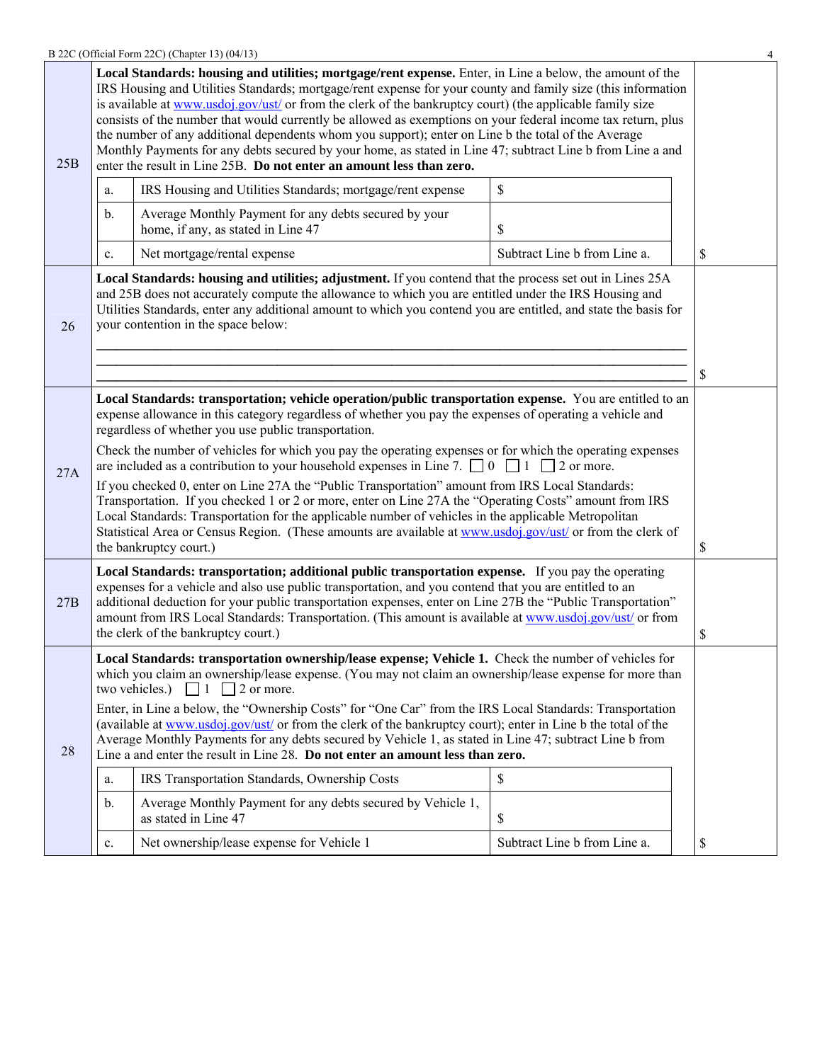| B 22C (Official Form 22C) (Chapter 13) (04/13) |  |
|------------------------------------------------|--|
|------------------------------------------------|--|

|     |                                                                                                                                                                                                                                                                                                                                                                                                                                                                                                                                                                                                                                                                                                                                                                                                                                                                                                                                                                     | B 22C (Official Form 22C) (Chapter 13) (04/13)                                              |                              | 4  |  |  |
|-----|---------------------------------------------------------------------------------------------------------------------------------------------------------------------------------------------------------------------------------------------------------------------------------------------------------------------------------------------------------------------------------------------------------------------------------------------------------------------------------------------------------------------------------------------------------------------------------------------------------------------------------------------------------------------------------------------------------------------------------------------------------------------------------------------------------------------------------------------------------------------------------------------------------------------------------------------------------------------|---------------------------------------------------------------------------------------------|------------------------------|----|--|--|
| 25B | Local Standards: housing and utilities; mortgage/rent expense. Enter, in Line a below, the amount of the<br>IRS Housing and Utilities Standards; mortgage/rent expense for your county and family size (this information<br>is available at www.usdoj.gov/ust/ or from the clerk of the bankruptcy court) (the applicable family size<br>consists of the number that would currently be allowed as exemptions on your federal income tax return, plus<br>the number of any additional dependents whom you support); enter on Line b the total of the Average<br>Monthly Payments for any debts secured by your home, as stated in Line 47; subtract Line b from Line a and<br>enter the result in Line 25B. Do not enter an amount less than zero.                                                                                                                                                                                                                  |                                                                                             |                              |    |  |  |
|     | a.                                                                                                                                                                                                                                                                                                                                                                                                                                                                                                                                                                                                                                                                                                                                                                                                                                                                                                                                                                  | IRS Housing and Utilities Standards; mortgage/rent expense                                  | \$                           |    |  |  |
|     | b.                                                                                                                                                                                                                                                                                                                                                                                                                                                                                                                                                                                                                                                                                                                                                                                                                                                                                                                                                                  | Average Monthly Payment for any debts secured by your<br>home, if any, as stated in Line 47 | \$                           |    |  |  |
|     | c.                                                                                                                                                                                                                                                                                                                                                                                                                                                                                                                                                                                                                                                                                                                                                                                                                                                                                                                                                                  | Net mortgage/rental expense                                                                 | Subtract Line b from Line a. | \$ |  |  |
| 26  | Local Standards: housing and utilities; adjustment. If you contend that the process set out in Lines 25A<br>and 25B does not accurately compute the allowance to which you are entitled under the IRS Housing and<br>Utilities Standards, enter any additional amount to which you contend you are entitled, and state the basis for<br>your contention in the space below:<br>\$                                                                                                                                                                                                                                                                                                                                                                                                                                                                                                                                                                                   |                                                                                             |                              |    |  |  |
| 27A | Local Standards: transportation; vehicle operation/public transportation expense. You are entitled to an<br>expense allowance in this category regardless of whether you pay the expenses of operating a vehicle and<br>regardless of whether you use public transportation.<br>Check the number of vehicles for which you pay the operating expenses or for which the operating expenses<br>are included as a contribution to your household expenses in Line 7. $\Box$ 0 $\Box$ 1 $\Box$ 2 or more.<br>If you checked 0, enter on Line 27A the "Public Transportation" amount from IRS Local Standards:<br>Transportation. If you checked 1 or 2 or more, enter on Line 27A the "Operating Costs" amount from IRS<br>Local Standards: Transportation for the applicable number of vehicles in the applicable Metropolitan<br>Statistical Area or Census Region. (These amounts are available at www.usdoj.gov/ust/ or from the clerk of<br>the bankruptcy court.) |                                                                                             |                              |    |  |  |
| 27B | Local Standards: transportation; additional public transportation expense. If you pay the operating<br>expenses for a vehicle and also use public transportation, and you contend that you are entitled to an<br>additional deduction for your public transportation expenses, enter on Line 27B the "Public Transportation"<br>amount from IRS Local Standards: Transportation. (This amount is available at www.usdoj.gov/ust/ or from<br>the clerk of the bankruptcy court.)                                                                                                                                                                                                                                                                                                                                                                                                                                                                                     |                                                                                             |                              |    |  |  |
| 28  | \$<br>Local Standards: transportation ownership/lease expense; Vehicle 1. Check the number of vehicles for<br>which you claim an ownership/lease expense. (You may not claim an ownership/lease expense for more than<br>two vehicles.)<br>$\Box$ 1 $\Box$ 2 or more.<br>Enter, in Line a below, the "Ownership Costs" for "One Car" from the IRS Local Standards: Transportation<br>(available at www.usdoj.gov/ust/ or from the clerk of the bankruptcy court); enter in Line b the total of the<br>Average Monthly Payments for any debts secured by Vehicle 1, as stated in Line 47; subtract Line b from<br>Line a and enter the result in Line 28. Do not enter an amount less than zero.<br>IRS Transportation Standards, Ownership Costs<br>\$<br>a.<br>Average Monthly Payment for any debts secured by Vehicle 1,<br>b.<br>as stated in Line 47<br>\$<br>Net ownership/lease expense for Vehicle 1<br>Subtract Line b from Line a.<br>\$<br>$c$ .         |                                                                                             |                              |    |  |  |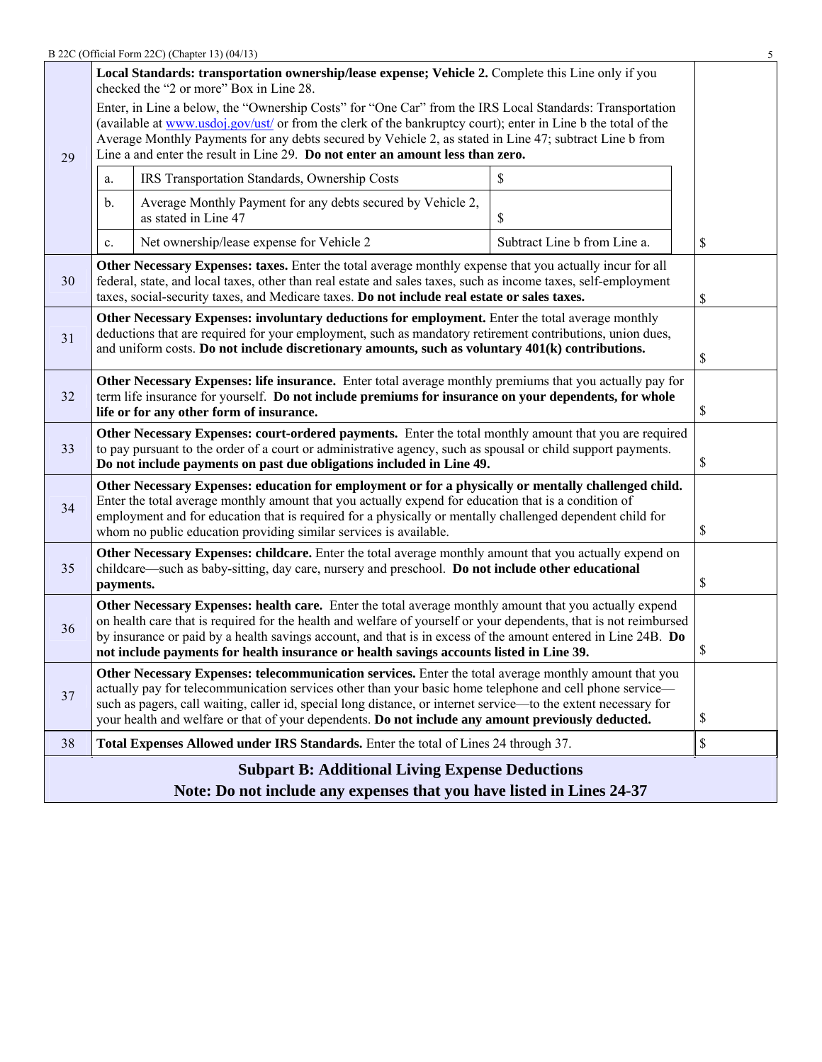|                                                                                                                                                                                                                                                                                                                                                                                                      |                                                                                                                                                                                                                                                                                                                                                                                                                                                  | B 22C (Official Form 22C) (Chapter 13) (04/13)                                                                                                                                                                                                                                                                             |                              | 5           |  |  |  |
|------------------------------------------------------------------------------------------------------------------------------------------------------------------------------------------------------------------------------------------------------------------------------------------------------------------------------------------------------------------------------------------------------|--------------------------------------------------------------------------------------------------------------------------------------------------------------------------------------------------------------------------------------------------------------------------------------------------------------------------------------------------------------------------------------------------------------------------------------------------|----------------------------------------------------------------------------------------------------------------------------------------------------------------------------------------------------------------------------------------------------------------------------------------------------------------------------|------------------------------|-------------|--|--|--|
| Local Standards: transportation ownership/lease expense; Vehicle 2. Complete this Line only if you<br>checked the "2 or more" Box in Line 28.                                                                                                                                                                                                                                                        |                                                                                                                                                                                                                                                                                                                                                                                                                                                  |                                                                                                                                                                                                                                                                                                                            |                              |             |  |  |  |
| 29                                                                                                                                                                                                                                                                                                                                                                                                   | Enter, in Line a below, the "Ownership Costs" for "One Car" from the IRS Local Standards: Transportation<br>(available at www.usdoj.gov/ust/ or from the clerk of the bankruptcy court); enter in Line b the total of the<br>Average Monthly Payments for any debts secured by Vehicle 2, as stated in Line 47; subtract Line b from<br>Line a and enter the result in Line 29. Do not enter an amount less than zero.                           |                                                                                                                                                                                                                                                                                                                            |                              |             |  |  |  |
|                                                                                                                                                                                                                                                                                                                                                                                                      | a.                                                                                                                                                                                                                                                                                                                                                                                                                                               | IRS Transportation Standards, Ownership Costs                                                                                                                                                                                                                                                                              | \$                           |             |  |  |  |
|                                                                                                                                                                                                                                                                                                                                                                                                      | b.                                                                                                                                                                                                                                                                                                                                                                                                                                               | Average Monthly Payment for any debts secured by Vehicle 2,<br>as stated in Line 47                                                                                                                                                                                                                                        | \$                           |             |  |  |  |
|                                                                                                                                                                                                                                                                                                                                                                                                      | c.                                                                                                                                                                                                                                                                                                                                                                                                                                               | Net ownership/lease expense for Vehicle 2                                                                                                                                                                                                                                                                                  | Subtract Line b from Line a. | \$          |  |  |  |
| 30                                                                                                                                                                                                                                                                                                                                                                                                   |                                                                                                                                                                                                                                                                                                                                                                                                                                                  | Other Necessary Expenses: taxes. Enter the total average monthly expense that you actually incur for all<br>federal, state, and local taxes, other than real estate and sales taxes, such as income taxes, self-employment<br>taxes, social-security taxes, and Medicare taxes. Do not include real estate or sales taxes. |                              | \$          |  |  |  |
| Other Necessary Expenses: involuntary deductions for employment. Enter the total average monthly<br>deductions that are required for your employment, such as mandatory retirement contributions, union dues,<br>31<br>and uniform costs. Do not include discretionary amounts, such as voluntary 401(k) contributions.                                                                              |                                                                                                                                                                                                                                                                                                                                                                                                                                                  |                                                                                                                                                                                                                                                                                                                            |                              |             |  |  |  |
| 32                                                                                                                                                                                                                                                                                                                                                                                                   | Other Necessary Expenses: life insurance. Enter total average monthly premiums that you actually pay for<br>term life insurance for yourself. Do not include premiums for insurance on your dependents, for whole<br>life or for any other form of insurance.                                                                                                                                                                                    |                                                                                                                                                                                                                                                                                                                            |                              |             |  |  |  |
| Other Necessary Expenses: court-ordered payments. Enter the total monthly amount that you are required<br>33<br>to pay pursuant to the order of a court or administrative agency, such as spousal or child support payments.<br>Do not include payments on past due obligations included in Line 49.                                                                                                 |                                                                                                                                                                                                                                                                                                                                                                                                                                                  |                                                                                                                                                                                                                                                                                                                            |                              |             |  |  |  |
| Other Necessary Expenses: education for employment or for a physically or mentally challenged child.<br>Enter the total average monthly amount that you actually expend for education that is a condition of<br>34<br>employment and for education that is required for a physically or mentally challenged dependent child for<br>whom no public education providing similar services is available. |                                                                                                                                                                                                                                                                                                                                                                                                                                                  |                                                                                                                                                                                                                                                                                                                            |                              |             |  |  |  |
| Other Necessary Expenses: childcare. Enter the total average monthly amount that you actually expend on<br>childcare—such as baby-sitting, day care, nursery and preschool. Do not include other educational<br>35<br>payments.                                                                                                                                                                      |                                                                                                                                                                                                                                                                                                                                                                                                                                                  |                                                                                                                                                                                                                                                                                                                            |                              | \$          |  |  |  |
| 36                                                                                                                                                                                                                                                                                                                                                                                                   | Other Necessary Expenses: health care. Enter the total average monthly amount that you actually expend<br>on health care that is required for the health and welfare of yourself or your dependents, that is not reimbursed<br>by insurance or paid by a health savings account, and that is in excess of the amount entered in Line 24B. Do<br>not include payments for health insurance or health savings accounts listed in Line 39.          |                                                                                                                                                                                                                                                                                                                            |                              | \$          |  |  |  |
| 37                                                                                                                                                                                                                                                                                                                                                                                                   | Other Necessary Expenses: telecommunication services. Enter the total average monthly amount that you<br>actually pay for telecommunication services other than your basic home telephone and cell phone service—<br>such as pagers, call waiting, caller id, special long distance, or internet service—to the extent necessary for<br>\$<br>your health and welfare or that of your dependents. Do not include any amount previously deducted. |                                                                                                                                                                                                                                                                                                                            |                              |             |  |  |  |
| 38                                                                                                                                                                                                                                                                                                                                                                                                   |                                                                                                                                                                                                                                                                                                                                                                                                                                                  | Total Expenses Allowed under IRS Standards. Enter the total of Lines 24 through 37.                                                                                                                                                                                                                                        |                              | $\mathbb S$ |  |  |  |
|                                                                                                                                                                                                                                                                                                                                                                                                      |                                                                                                                                                                                                                                                                                                                                                                                                                                                  | <b>Subpart B: Additional Living Expense Deductions</b>                                                                                                                                                                                                                                                                     |                              |             |  |  |  |
|                                                                                                                                                                                                                                                                                                                                                                                                      | Note: Do not include any expenses that you have listed in Lines 24-37                                                                                                                                                                                                                                                                                                                                                                            |                                                                                                                                                                                                                                                                                                                            |                              |             |  |  |  |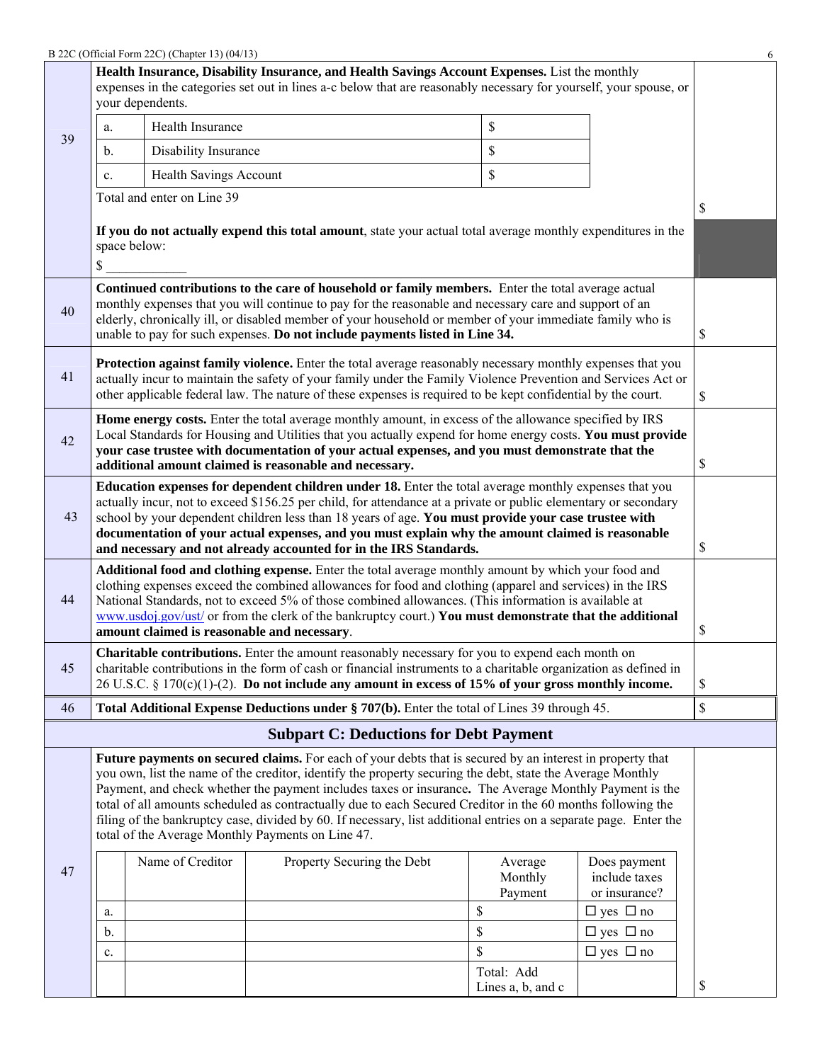|                                                                                                                                                                                                                                                                                                                                                                                                                                                                                         |                                                                                                                                                                                                                                                                                                                                                                                                                                                                                                                                                                                                                            | B 22C (Official Form 22C) (Chapter 13) (04/13) |                                                                                                                                                                                                                                                                                                                                                                                                         |  |                                     |                                                                        | 6  |
|-----------------------------------------------------------------------------------------------------------------------------------------------------------------------------------------------------------------------------------------------------------------------------------------------------------------------------------------------------------------------------------------------------------------------------------------------------------------------------------------|----------------------------------------------------------------------------------------------------------------------------------------------------------------------------------------------------------------------------------------------------------------------------------------------------------------------------------------------------------------------------------------------------------------------------------------------------------------------------------------------------------------------------------------------------------------------------------------------------------------------------|------------------------------------------------|---------------------------------------------------------------------------------------------------------------------------------------------------------------------------------------------------------------------------------------------------------------------------------------------------------------------------------------------------------------------------------------------------------|--|-------------------------------------|------------------------------------------------------------------------|----|
| Health Insurance, Disability Insurance, and Health Savings Account Expenses. List the monthly<br>expenses in the categories set out in lines a-c below that are reasonably necessary for yourself, your spouse, or<br>your dependents.                                                                                                                                                                                                                                                  |                                                                                                                                                                                                                                                                                                                                                                                                                                                                                                                                                                                                                            |                                                |                                                                                                                                                                                                                                                                                                                                                                                                         |  |                                     |                                                                        |    |
|                                                                                                                                                                                                                                                                                                                                                                                                                                                                                         | a.                                                                                                                                                                                                                                                                                                                                                                                                                                                                                                                                                                                                                         | Health Insurance                               |                                                                                                                                                                                                                                                                                                                                                                                                         |  | \$                                  |                                                                        |    |
| 39                                                                                                                                                                                                                                                                                                                                                                                                                                                                                      | b.                                                                                                                                                                                                                                                                                                                                                                                                                                                                                                                                                                                                                         | Disability Insurance                           |                                                                                                                                                                                                                                                                                                                                                                                                         |  | \$                                  |                                                                        |    |
|                                                                                                                                                                                                                                                                                                                                                                                                                                                                                         | c.                                                                                                                                                                                                                                                                                                                                                                                                                                                                                                                                                                                                                         | <b>Health Savings Account</b>                  |                                                                                                                                                                                                                                                                                                                                                                                                         |  | \$                                  |                                                                        |    |
|                                                                                                                                                                                                                                                                                                                                                                                                                                                                                         |                                                                                                                                                                                                                                                                                                                                                                                                                                                                                                                                                                                                                            | Total and enter on Line 39                     |                                                                                                                                                                                                                                                                                                                                                                                                         |  |                                     |                                                                        |    |
|                                                                                                                                                                                                                                                                                                                                                                                                                                                                                         | \$                                                                                                                                                                                                                                                                                                                                                                                                                                                                                                                                                                                                                         | space below:                                   | If you do not actually expend this total amount, state your actual total average monthly expenditures in the                                                                                                                                                                                                                                                                                            |  |                                     |                                                                        | \$ |
| 40                                                                                                                                                                                                                                                                                                                                                                                                                                                                                      |                                                                                                                                                                                                                                                                                                                                                                                                                                                                                                                                                                                                                            |                                                | Continued contributions to the care of household or family members. Enter the total average actual<br>monthly expenses that you will continue to pay for the reasonable and necessary care and support of an<br>elderly, chronically ill, or disabled member of your household or member of your immediate family who is<br>unable to pay for such expenses. Do not include payments listed in Line 34. |  |                                     |                                                                        | \$ |
| 41                                                                                                                                                                                                                                                                                                                                                                                                                                                                                      |                                                                                                                                                                                                                                                                                                                                                                                                                                                                                                                                                                                                                            |                                                | Protection against family violence. Enter the total average reasonably necessary monthly expenses that you<br>actually incur to maintain the safety of your family under the Family Violence Prevention and Services Act or<br>other applicable federal law. The nature of these expenses is required to be kept confidential by the court.                                                             |  |                                     |                                                                        | \$ |
| 42                                                                                                                                                                                                                                                                                                                                                                                                                                                                                      |                                                                                                                                                                                                                                                                                                                                                                                                                                                                                                                                                                                                                            |                                                | Home energy costs. Enter the total average monthly amount, in excess of the allowance specified by IRS<br>Local Standards for Housing and Utilities that you actually expend for home energy costs. You must provide<br>your case trustee with documentation of your actual expenses, and you must demonstrate that the<br>additional amount claimed is reasonable and necessary.                       |  |                                     |                                                                        | \$ |
| 43                                                                                                                                                                                                                                                                                                                                                                                                                                                                                      | Education expenses for dependent children under 18. Enter the total average monthly expenses that you<br>actually incur, not to exceed \$156.25 per child, for attendance at a private or public elementary or secondary<br>school by your dependent children less than 18 years of age. You must provide your case trustee with<br>documentation of your actual expenses, and you must explain why the amount claimed is reasonable<br>and necessary and not already accounted for in the IRS Standards.                                                                                                                  |                                                |                                                                                                                                                                                                                                                                                                                                                                                                         |  |                                     |                                                                        | \$ |
| Additional food and clothing expense. Enter the total average monthly amount by which your food and<br>clothing expenses exceed the combined allowances for food and clothing (apparel and services) in the IRS<br>44<br>National Standards, not to exceed 5% of those combined allowances. (This information is available at<br>www.usdoj.gov/ust/ or from the clerk of the bankruptcy court.) You must demonstrate that the additional<br>amount claimed is reasonable and necessary. |                                                                                                                                                                                                                                                                                                                                                                                                                                                                                                                                                                                                                            |                                                |                                                                                                                                                                                                                                                                                                                                                                                                         |  |                                     | \$                                                                     |    |
| 45                                                                                                                                                                                                                                                                                                                                                                                                                                                                                      |                                                                                                                                                                                                                                                                                                                                                                                                                                                                                                                                                                                                                            |                                                | Charitable contributions. Enter the amount reasonably necessary for you to expend each month on<br>charitable contributions in the form of cash or financial instruments to a charitable organization as defined in<br>$26$ U.S.C. § 170(c)(1)-(2). Do not include any amount in excess of 15% of your gross monthly income.                                                                            |  |                                     |                                                                        | \$ |
| 46                                                                                                                                                                                                                                                                                                                                                                                                                                                                                      |                                                                                                                                                                                                                                                                                                                                                                                                                                                                                                                                                                                                                            |                                                | Total Additional Expense Deductions under § 707(b). Enter the total of Lines 39 through 45.                                                                                                                                                                                                                                                                                                             |  |                                     |                                                                        | \$ |
|                                                                                                                                                                                                                                                                                                                                                                                                                                                                                         |                                                                                                                                                                                                                                                                                                                                                                                                                                                                                                                                                                                                                            |                                                | <b>Subpart C: Deductions for Debt Payment</b>                                                                                                                                                                                                                                                                                                                                                           |  |                                     |                                                                        |    |
|                                                                                                                                                                                                                                                                                                                                                                                                                                                                                         | Future payments on secured claims. For each of your debts that is secured by an interest in property that<br>you own, list the name of the creditor, identify the property securing the debt, state the Average Monthly<br>Payment, and check whether the payment includes taxes or insurance. The Average Monthly Payment is the<br>total of all amounts scheduled as contractually due to each Secured Creditor in the 60 months following the<br>filing of the bankruptcy case, divided by 60. If necessary, list additional entries on a separate page. Enter the<br>total of the Average Monthly Payments on Line 47. |                                                |                                                                                                                                                                                                                                                                                                                                                                                                         |  |                                     |                                                                        |    |
| 47                                                                                                                                                                                                                                                                                                                                                                                                                                                                                      | a.                                                                                                                                                                                                                                                                                                                                                                                                                                                                                                                                                                                                                         | Name of Creditor                               | Property Securing the Debt                                                                                                                                                                                                                                                                                                                                                                              |  | Average<br>Monthly<br>Payment<br>\$ | Does payment<br>include taxes<br>or insurance?<br>$\Box$ yes $\Box$ no |    |
|                                                                                                                                                                                                                                                                                                                                                                                                                                                                                         | b.                                                                                                                                                                                                                                                                                                                                                                                                                                                                                                                                                                                                                         |                                                |                                                                                                                                                                                                                                                                                                                                                                                                         |  | \$                                  | $\Box$ yes $\Box$ no                                                   |    |
|                                                                                                                                                                                                                                                                                                                                                                                                                                                                                         | c.                                                                                                                                                                                                                                                                                                                                                                                                                                                                                                                                                                                                                         |                                                |                                                                                                                                                                                                                                                                                                                                                                                                         |  | \$                                  | $\Box$ yes $\Box$ no                                                   |    |
|                                                                                                                                                                                                                                                                                                                                                                                                                                                                                         |                                                                                                                                                                                                                                                                                                                                                                                                                                                                                                                                                                                                                            |                                                |                                                                                                                                                                                                                                                                                                                                                                                                         |  | Total: Add<br>Lines a, b, and c     |                                                                        | \$ |
|                                                                                                                                                                                                                                                                                                                                                                                                                                                                                         |                                                                                                                                                                                                                                                                                                                                                                                                                                                                                                                                                                                                                            |                                                |                                                                                                                                                                                                                                                                                                                                                                                                         |  |                                     |                                                                        |    |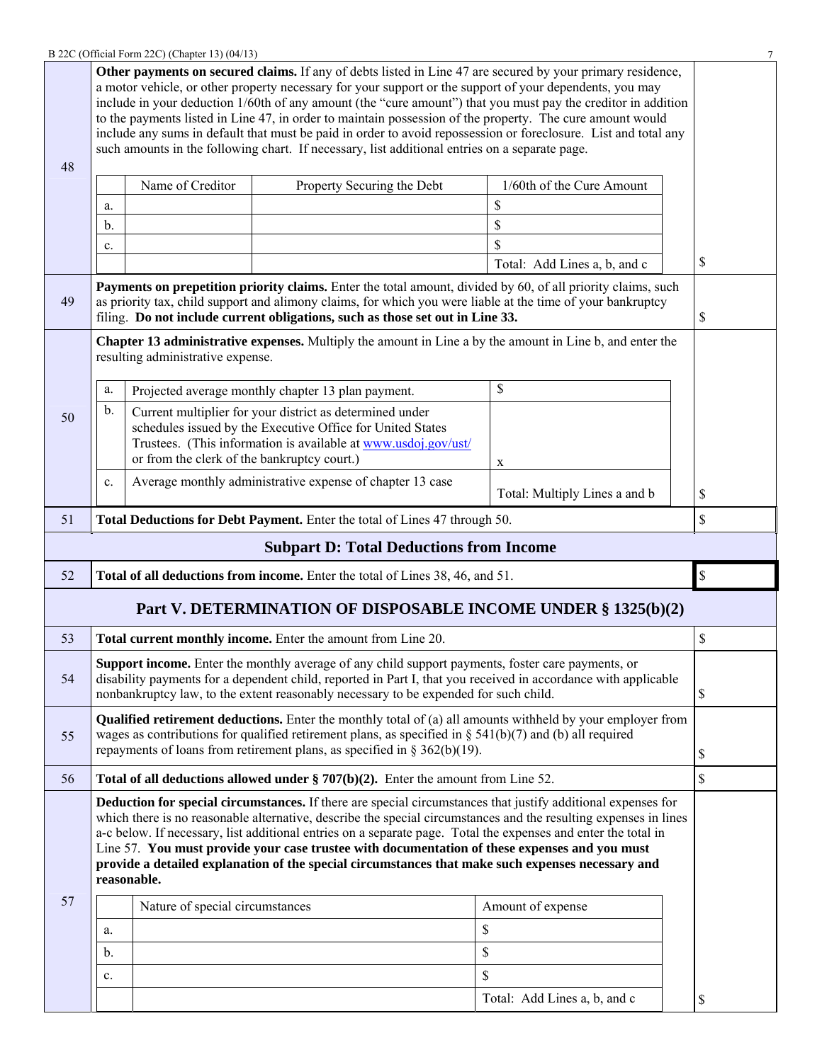|    |                                                                                                                                                                                                                                                                                                                                                                                                                                                                                                                                                                                | B 22C (Official Form 22C) (Chapter 13) (04/13) |                                                                                                                                                                                                  |                                                                                                                                                                                                                                                                                                                                                                                                                                                                                                                                                                         | 7             |  |
|----|--------------------------------------------------------------------------------------------------------------------------------------------------------------------------------------------------------------------------------------------------------------------------------------------------------------------------------------------------------------------------------------------------------------------------------------------------------------------------------------------------------------------------------------------------------------------------------|------------------------------------------------|--------------------------------------------------------------------------------------------------------------------------------------------------------------------------------------------------|-------------------------------------------------------------------------------------------------------------------------------------------------------------------------------------------------------------------------------------------------------------------------------------------------------------------------------------------------------------------------------------------------------------------------------------------------------------------------------------------------------------------------------------------------------------------------|---------------|--|
| 48 |                                                                                                                                                                                                                                                                                                                                                                                                                                                                                                                                                                                |                                                | such amounts in the following chart. If necessary, list additional entries on a separate page.                                                                                                   | Other payments on secured claims. If any of debts listed in Line 47 are secured by your primary residence,<br>a motor vehicle, or other property necessary for your support or the support of your dependents, you may<br>include in your deduction 1/60th of any amount (the "cure amount") that you must pay the creditor in addition<br>to the payments listed in Line 47, in order to maintain possession of the property. The cure amount would<br>include any sums in default that must be paid in order to avoid repossession or foreclosure. List and total any |               |  |
|    |                                                                                                                                                                                                                                                                                                                                                                                                                                                                                                                                                                                | Name of Creditor                               | Property Securing the Debt                                                                                                                                                                       | 1/60th of the Cure Amount                                                                                                                                                                                                                                                                                                                                                                                                                                                                                                                                               |               |  |
|    |                                                                                                                                                                                                                                                                                                                                                                                                                                                                                                                                                                                |                                                |                                                                                                                                                                                                  |                                                                                                                                                                                                                                                                                                                                                                                                                                                                                                                                                                         |               |  |
|    | a.                                                                                                                                                                                                                                                                                                                                                                                                                                                                                                                                                                             |                                                |                                                                                                                                                                                                  | \$                                                                                                                                                                                                                                                                                                                                                                                                                                                                                                                                                                      |               |  |
|    | b.                                                                                                                                                                                                                                                                                                                                                                                                                                                                                                                                                                             |                                                |                                                                                                                                                                                                  | \$                                                                                                                                                                                                                                                                                                                                                                                                                                                                                                                                                                      |               |  |
|    | c.                                                                                                                                                                                                                                                                                                                                                                                                                                                                                                                                                                             |                                                |                                                                                                                                                                                                  | \$                                                                                                                                                                                                                                                                                                                                                                                                                                                                                                                                                                      |               |  |
|    |                                                                                                                                                                                                                                                                                                                                                                                                                                                                                                                                                                                |                                                |                                                                                                                                                                                                  | Total: Add Lines a, b, and c                                                                                                                                                                                                                                                                                                                                                                                                                                                                                                                                            | \$            |  |
| 49 |                                                                                                                                                                                                                                                                                                                                                                                                                                                                                                                                                                                |                                                | filing. Do not include current obligations, such as those set out in Line 33.                                                                                                                    | Payments on prepetition priority claims. Enter the total amount, divided by 60, of all priority claims, such<br>as priority tax, child support and alimony claims, for which you were liable at the time of your bankruptcy                                                                                                                                                                                                                                                                                                                                             | \$            |  |
|    |                                                                                                                                                                                                                                                                                                                                                                                                                                                                                                                                                                                | resulting administrative expense.              |                                                                                                                                                                                                  | <b>Chapter 13 administrative expenses.</b> Multiply the amount in Line a by the amount in Line b, and enter the                                                                                                                                                                                                                                                                                                                                                                                                                                                         |               |  |
|    | a.                                                                                                                                                                                                                                                                                                                                                                                                                                                                                                                                                                             |                                                | Projected average monthly chapter 13 plan payment.                                                                                                                                               | \$                                                                                                                                                                                                                                                                                                                                                                                                                                                                                                                                                                      |               |  |
| 50 | $\mathbf b$ .                                                                                                                                                                                                                                                                                                                                                                                                                                                                                                                                                                  |                                                | Current multiplier for your district as determined under<br>schedules issued by the Executive Office for United States<br>Trustees. (This information is available at www.usdoj.gov/ust/         |                                                                                                                                                                                                                                                                                                                                                                                                                                                                                                                                                                         |               |  |
|    |                                                                                                                                                                                                                                                                                                                                                                                                                                                                                                                                                                                | or from the clerk of the bankruptcy court.)    |                                                                                                                                                                                                  | X                                                                                                                                                                                                                                                                                                                                                                                                                                                                                                                                                                       |               |  |
|    | c.                                                                                                                                                                                                                                                                                                                                                                                                                                                                                                                                                                             |                                                | Average monthly administrative expense of chapter 13 case                                                                                                                                        | Total: Multiply Lines a and b                                                                                                                                                                                                                                                                                                                                                                                                                                                                                                                                           | \$            |  |
| 51 |                                                                                                                                                                                                                                                                                                                                                                                                                                                                                                                                                                                |                                                | Total Deductions for Debt Payment. Enter the total of Lines 47 through 50.                                                                                                                       |                                                                                                                                                                                                                                                                                                                                                                                                                                                                                                                                                                         | $\mathsf{\$}$ |  |
|    |                                                                                                                                                                                                                                                                                                                                                                                                                                                                                                                                                                                |                                                | <b>Subpart D: Total Deductions from Income</b>                                                                                                                                                   |                                                                                                                                                                                                                                                                                                                                                                                                                                                                                                                                                                         |               |  |
| 52 |                                                                                                                                                                                                                                                                                                                                                                                                                                                                                                                                                                                |                                                | Total of all deductions from income. Enter the total of Lines 38, 46, and 51.                                                                                                                    |                                                                                                                                                                                                                                                                                                                                                                                                                                                                                                                                                                         | \$            |  |
|    |                                                                                                                                                                                                                                                                                                                                                                                                                                                                                                                                                                                |                                                |                                                                                                                                                                                                  | Part V. DETERMINATION OF DISPOSABLE INCOME UNDER § 1325(b)(2)                                                                                                                                                                                                                                                                                                                                                                                                                                                                                                           |               |  |
| 53 |                                                                                                                                                                                                                                                                                                                                                                                                                                                                                                                                                                                |                                                | Total current monthly income. Enter the amount from Line 20.                                                                                                                                     |                                                                                                                                                                                                                                                                                                                                                                                                                                                                                                                                                                         | \$            |  |
| 54 |                                                                                                                                                                                                                                                                                                                                                                                                                                                                                                                                                                                |                                                | <b>Support income.</b> Enter the monthly average of any child support payments, foster care payments, or<br>nonbankruptcy law, to the extent reasonably necessary to be expended for such child. | disability payments for a dependent child, reported in Part I, that you received in accordance with applicable                                                                                                                                                                                                                                                                                                                                                                                                                                                          | \$            |  |
| 55 | <b>Qualified retirement deductions.</b> Enter the monthly total of (a) all amounts withheld by your employer from<br>wages as contributions for qualified retirement plans, as specified in $\S$ 541(b)(7) and (b) all required<br>repayments of loans from retirement plans, as specified in $\S 362(b)(19)$ .                                                                                                                                                                                                                                                                |                                                |                                                                                                                                                                                                  |                                                                                                                                                                                                                                                                                                                                                                                                                                                                                                                                                                         |               |  |
| 56 |                                                                                                                                                                                                                                                                                                                                                                                                                                                                                                                                                                                |                                                | <b>Total of all deductions allowed under § 707(b)(2).</b> Enter the amount from Line 52.                                                                                                         |                                                                                                                                                                                                                                                                                                                                                                                                                                                                                                                                                                         | \$            |  |
|    | <b>Deduction for special circumstances.</b> If there are special circumstances that justify additional expenses for<br>which there is no reasonable alternative, describe the special circumstances and the resulting expenses in lines<br>a-c below. If necessary, list additional entries on a separate page. Total the expenses and enter the total in<br>Line 57. You must provide your case trustee with documentation of these expenses and you must<br>provide a detailed explanation of the special circumstances that make such expenses necessary and<br>reasonable. |                                                |                                                                                                                                                                                                  |                                                                                                                                                                                                                                                                                                                                                                                                                                                                                                                                                                         |               |  |
| 57 |                                                                                                                                                                                                                                                                                                                                                                                                                                                                                                                                                                                | Nature of special circumstances                |                                                                                                                                                                                                  | Amount of expense                                                                                                                                                                                                                                                                                                                                                                                                                                                                                                                                                       |               |  |
|    |                                                                                                                                                                                                                                                                                                                                                                                                                                                                                                                                                                                |                                                |                                                                                                                                                                                                  | \$                                                                                                                                                                                                                                                                                                                                                                                                                                                                                                                                                                      |               |  |
|    | a.                                                                                                                                                                                                                                                                                                                                                                                                                                                                                                                                                                             |                                                |                                                                                                                                                                                                  |                                                                                                                                                                                                                                                                                                                                                                                                                                                                                                                                                                         |               |  |
|    | b.                                                                                                                                                                                                                                                                                                                                                                                                                                                                                                                                                                             |                                                |                                                                                                                                                                                                  | \$                                                                                                                                                                                                                                                                                                                                                                                                                                                                                                                                                                      |               |  |
|    | $\mathbf{c}$ .                                                                                                                                                                                                                                                                                                                                                                                                                                                                                                                                                                 |                                                |                                                                                                                                                                                                  | \$                                                                                                                                                                                                                                                                                                                                                                                                                                                                                                                                                                      |               |  |
|    |                                                                                                                                                                                                                                                                                                                                                                                                                                                                                                                                                                                |                                                |                                                                                                                                                                                                  | Total: Add Lines a, b, and c                                                                                                                                                                                                                                                                                                                                                                                                                                                                                                                                            | \$            |  |